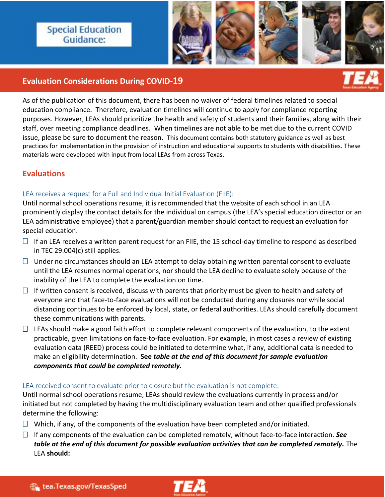## **Special Education** Guidance:

**Instructional Checklist**



### **Evaluation Considerations During COVID-19**

As of the publication of this document, there has been no waiver of federal timelines related to special education compliance. Therefore, evaluation timelines will continue to apply for compliance reporting purposes. However, LEAs should prioritize the health and safety of students and their families, along with their staff, over meeting compliance deadlines. When timelines are not able to be met due to the current COVID issue, please be sure to document the reason. This document contains both statutory guidance as well as best practices for implementation in the provision of instruction and educational supports to students with disabilities. These materials were developed with input from local LEAs from across Texas.

## **Evaluations**

#### LEA receives a request for a Full and Individual Initial Evaluation (FIIE):

Until normal school operations resume, it is recommended that the website of each school in an LEA prominently display the contact details for the individual on campus (the LEA's special education director or an LEA administrative employee) that a parent/guardian member should contact to request an evaluation for special education.

- $\Box$  If an LEA receives a written parent request for an FIIE, the 15 school-day timeline to respond as described in TEC 29.004(c) still applies.
- $\Box$  Under no circumstances should an LEA attempt to delay obtaining written parental consent to evaluate until the LEA resumes normal operations, nor should the LEA decline to evaluate solely because of the inability of the LEA to complete the evaluation on time.
- $\Box$  If written consent is received, discuss with parents that priority must be given to health and safety of everyone and that face-to-face evaluations will not be conducted during any closures nor while social distancing continues to be enforced by local, state, or federal authorities. LEAs should carefully document these communications with parents.
- $\Box$  LEAs should make a good faith effort to complete relevant components of the evaluation, to the extent practicable, given limitations on face-to-face evaluation. For example, in most cases a review of existing evaluation data (REED) process could be initiated to determine what, if any, additional data is needed to make an eligibility determination. **See** *table at the end of this document for sample evaluation components that could be completed remotely.*

#### LEA received consent to evaluate prior to closure but the evaluation is not complete:

Until normal school operations resume, LEAs should review the evaluations currently in process and/or initiated but not completed by having the multidisciplinary evaluation team and other qualified professionals determine the following:

- $\Box$  Which, if any, of the components of the evaluation have been completed and/or initiated.
- $\Box$  If any components of the evaluation can be completed remotely, without face-to-face interaction. See *table at the end of this document for possible evaluation activities that can be completed remotely.* The LEA **should:**

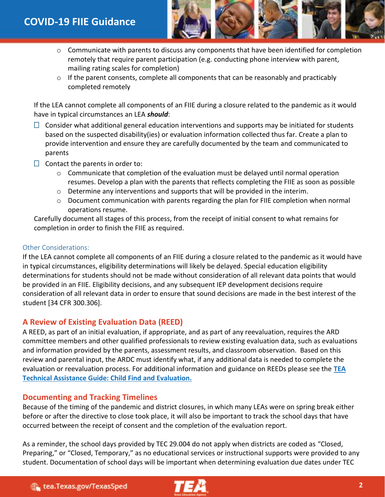

- $\circ$  Communicate with parents to discuss any components that have been identified for completion remotely that require parent participation (e.g. conducting phone interview with parent, mailing rating scales for completion)
- $\circ$  If the parent consents, complete all components that can be reasonably and practicably completed remotely

If the LEA cannot complete all components of an FIIE during a closure related to the pandemic as it would have in typical circumstances an LEA *should*:

- $\Box$  Consider what additional general education interventions and supports may be initiated for students based on the suspected disability(ies) or evaluation information collected thus far. Create a plan to provide intervention and ensure they are carefully documented by the team and communicated to parents
- $\Box$  Contact the parents in order to:
	- $\circ$  Communicate that completion of the evaluation must be delayed until normal operation resumes. Develop a plan with the parents that reflects completing the FIIE as soon as possible
	- $\circ$  Determine any interventions and supports that will be provided in the interim.
	- $\circ$  Document communication with parents regarding the plan for FIIE completion when normal operations resume.

Carefully document all stages of this process, from the receipt of initial consent to what remains for completion in order to finish the FIIE as required.

#### Other Considerations:

If the LEA cannot complete all components of an FIIE during a closure related to the pandemic as it would have in typical circumstances, eligibility determinations will likely be delayed. Special education eligibility determinations for students should not be made without consideration of all relevant data points that would be provided in an FIIE. Eligibility decisions, and any subsequent IEP development decisions require consideration of all relevant data in order to ensure that sound decisions are made in the best interest of the student [34 CFR 300.306].

### **A Review of Existing Evaluation Data (REED)**

A REED, as part of an initial evaluation, if appropriate, and as part of any reevaluation, requires the ARD committee members and other qualified professionals to review existing evaluation data, such as evaluations and information provided by the parents, assessment results, and classroom observation. Based on this review and parental input, the ARDC must identify what, if any additional data is needed to complete the evaluation or reevaluation process. For additional information and guidance on REEDs please see the **[TEA](https://tea.texas.gov/sites/default/files/FINAL%20Child%20Find%20and%20Evaluation%20_11.5.19_accessible-locked_r.pdf)  [Technical Assistance Guide: Child Find and Evaluation.](https://tea.texas.gov/sites/default/files/FINAL%20Child%20Find%20and%20Evaluation%20_11.5.19_accessible-locked_r.pdf)** 

### **Documenting and Tracking Timelines**

Because of the timing of the pandemic and district closures, in which many LEAs were on spring break either before or after the directive to close took place, it will also be important to track the school days that have occurred between the receipt of consent and the completion of the evaluation report.

As a reminder, the school days provided by TEC 29.004 do not apply when districts are coded as "Closed, Preparing," or "Closed, Temporary," as no educational services or instructional supports were provided to any student. Documentation of school days will be important when determining evaluation due dates under TEC

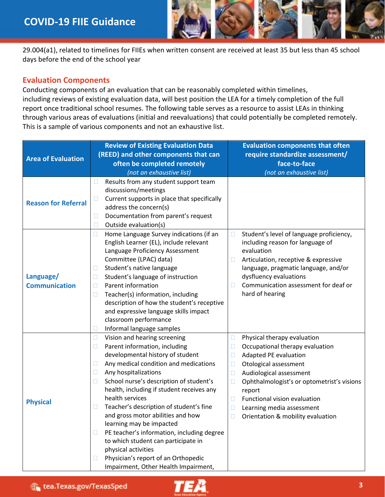

29.004(a1), related to timelines for FIIEs when written consent are received at least 35 but less than 45 school days before the end of the school year

#### **Evaluation Components**

Conducting components of an evaluation that can be reasonably completed within timelines, including reviews of existing evaluation data, will best position the LEA for a timely completion of the full report once traditional school resumes. The following table serves as a resource to assist LEAs in thinking through various areas of evaluations (initial and reevaluations) that could potentially be completed remotely. This is a sample of various components and not an exhaustive list.

| <b>Area of Evaluation</b>         | <b>Review of Existing Evaluation Data</b><br>(REED) and other components that can<br>often be completed remotely<br>(not an exhaustive list)                                                                                                                                                                                                                                                                                                                                                                                                                                                                                                               | <b>Evaluation components that often</b><br>require standardize assessment/<br>face-to-face<br>(not an exhaustive list)                                                                                                                                                                                                                                                      |
|-----------------------------------|------------------------------------------------------------------------------------------------------------------------------------------------------------------------------------------------------------------------------------------------------------------------------------------------------------------------------------------------------------------------------------------------------------------------------------------------------------------------------------------------------------------------------------------------------------------------------------------------------------------------------------------------------------|-----------------------------------------------------------------------------------------------------------------------------------------------------------------------------------------------------------------------------------------------------------------------------------------------------------------------------------------------------------------------------|
| <b>Reason for Referral</b>        | Results from any student support team<br>$\Box$<br>discussions/meetings<br>Current supports in place that specifically<br>u<br>address the concern(s)<br>Documentation from parent's request<br>$\Box$<br>Outside evaluation(s)<br>$\Box$                                                                                                                                                                                                                                                                                                                                                                                                                  |                                                                                                                                                                                                                                                                                                                                                                             |
| Language/<br><b>Communication</b> | $\Box$<br>Home Language Survey indications (if an<br>English Learner (EL), include relevant<br>Language Proficiency Assessment<br>Committee (LPAC) data)<br>Student's native language<br>$\Box$<br>Student's language of instruction<br>$\Box$<br>Parent information<br>$\Box$<br>$\Box$<br>Teacher(s) information, including<br>description of how the student's receptive<br>and expressive language skills impact<br>classroom performance<br>Informal language samples<br>$\Box$                                                                                                                                                                       | Student's level of language proficiency,<br>$\Box$<br>including reason for language of<br>evaluation<br>Articulation, receptive & expressive<br>Ш<br>language, pragmatic language, and/or<br>dysfluency evaluations<br>Communication assessment for deaf or<br>hard of hearing                                                                                              |
| <b>Physical</b>                   | $\Box$<br>Vision and hearing screening<br>Parent information, including<br>$\Box$<br>developmental history of student<br>Any medical condition and medications<br>$\Box$<br>Any hospitalizations<br>$\Box$<br>School nurse's description of student's<br>$\Box$<br>health, including if student receives any<br>health services<br>Teacher's description of student's fine<br>u<br>and gross motor abilities and how<br>learning may be impacted<br>PE teacher's information, including degree<br>Ш<br>to which student can participate in<br>physical activities<br>Physician's report of an Orthopedic<br>$\Box$<br>Impairment, Other Health Impairment, | Physical therapy evaluation<br>$\Box$<br>Occupational therapy evaluation<br>u<br>Adapted PE evaluation<br>□<br>Otological assessment<br>$\Box$<br>Audiological assessment<br>$\Box$<br>Ophthalmologist's or optometrist's visions<br>$\Box$<br>report<br>Functional vision evaluation<br>П<br>$\Box$<br>Learning media assessment<br>Orientation & mobility evaluation<br>П |

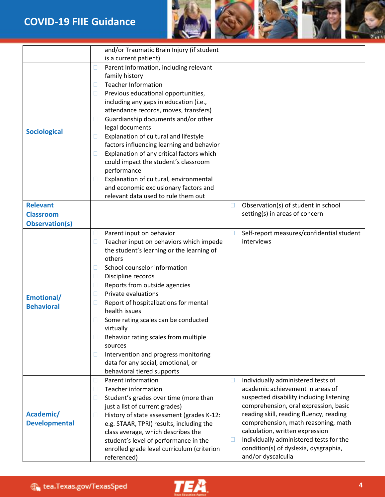# **COVID-19 FIIE Guidance**



|                       | and/or Traumatic Brain Injury (if student           |                                                     |
|-----------------------|-----------------------------------------------------|-----------------------------------------------------|
|                       | is a current patient)                               |                                                     |
|                       | Parent Information, including relevant<br>$\Box$    |                                                     |
|                       | family history                                      |                                                     |
|                       | <b>Teacher Information</b><br>$\Box$                |                                                     |
|                       | Previous educational opportunities,<br>$\Box$       |                                                     |
|                       | including any gaps in education (i.e.,              |                                                     |
|                       | attendance records, moves, transfers)               |                                                     |
|                       | Guardianship documents and/or other<br>$\Box$       |                                                     |
|                       | legal documents                                     |                                                     |
| <b>Sociological</b>   | Explanation of cultural and lifestyle<br>$\Box$     |                                                     |
|                       | factors influencing learning and behavior           |                                                     |
|                       | Explanation of any critical factors which<br>$\Box$ |                                                     |
|                       | could impact the student's classroom                |                                                     |
|                       | performance                                         |                                                     |
|                       | Explanation of cultural, environmental<br>$\Box$    |                                                     |
|                       | and economic exclusionary factors and               |                                                     |
|                       | relevant data used to rule them out                 |                                                     |
| <b>Relevant</b>       |                                                     | Observation(s) of student in school<br>$\Box$       |
| <b>Classroom</b>      |                                                     | setting(s) in areas of concern                      |
| <b>Observation(s)</b> |                                                     |                                                     |
|                       | Parent input on behavior<br>$\Box$                  | Self-report measures/confidential student<br>$\Box$ |
|                       | Teacher input on behaviors which impede<br>$\Box$   | interviews                                          |
|                       | the student's learning or the learning of           |                                                     |
|                       | others                                              |                                                     |
|                       | School counselor information<br>$\Box$              |                                                     |
|                       | Discipline records<br>$\Box$                        |                                                     |
|                       | Reports from outside agencies<br>$\Box$             |                                                     |
|                       | Private evaluations<br>$\Box$                       |                                                     |
| Emotional/            | Report of hospitalizations for mental<br>$\Box$     |                                                     |
| <b>Behavioral</b>     | health issues                                       |                                                     |
|                       | Some rating scales can be conducted                 |                                                     |
|                       | virtually                                           |                                                     |
|                       | Behavior rating scales from multiple<br>$\Box$      |                                                     |
|                       | sources                                             |                                                     |
|                       | Intervention and progress monitoring<br>$\Box$      |                                                     |
|                       | data for any social, emotional, or                  |                                                     |
|                       | behavioral tiered supports                          |                                                     |
|                       | Parent information<br>$\Box$                        | Individually administered tests of<br>Ш             |
|                       | <b>Teacher information</b><br>$\Box$                | academic achievement in areas of                    |
|                       | Student's grades over time (more than<br>$\Box$     | suspected disability including listening            |
|                       | just a list of current grades)                      | comprehension, oral expression, basic               |
| Academic/             | History of state assessment (grades K-12:<br>$\Box$ | reading skill, reading fluency, reading             |
| <b>Developmental</b>  | e.g. STAAR, TPRI) results, including the            | comprehension, math reasoning, math                 |
|                       | class average, which describes the                  | calculation, written expression                     |
|                       | student's level of performance in the               | Individually administered tests for the<br>$\Box$   |
|                       | enrolled grade level curriculum (criterion          | condition(s) of dyslexia, dysgraphia,               |
|                       | referenced)                                         | and/or dyscalculia                                  |